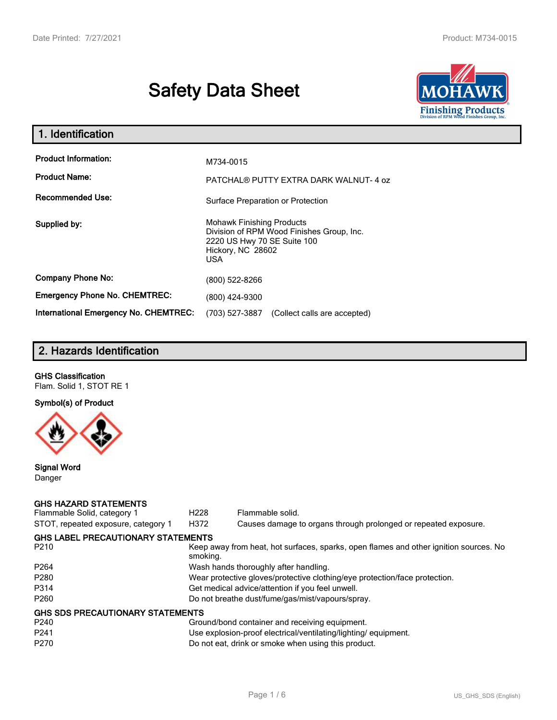# **Safety Data Sheet**



| 1. Identification                                   |                                                                                                                                          |
|-----------------------------------------------------|------------------------------------------------------------------------------------------------------------------------------------------|
| <b>Product Information:</b><br><b>Product Name:</b> | M734-0015<br>PATCHAL® PUTTY EXTRA DARK WALNUT-4 oz                                                                                       |
| <b>Recommended Use:</b>                             | Surface Preparation or Protection                                                                                                        |
| Supplied by:                                        | <b>Mohawk Finishing Products</b><br>Division of RPM Wood Finishes Group, Inc.<br>2220 US Hwy 70 SE Suite 100<br>Hickory, NC 28602<br>USA |
| <b>Company Phone No:</b>                            | (800) 522-8266                                                                                                                           |
| <b>Emergency Phone No. CHEMTREC:</b>                | (800) 424-9300                                                                                                                           |
| <b>International Emergency No. CHEMTREC:</b>        | (703) 527-3887<br>(Collect calls are accepted)                                                                                           |

# **2. Hazards Identification**

# **GHS Classification**

Flam. Solid 1, STOT RE 1

# **Symbol(s) of Product**



### **Signal Word** Danger

### **GHS HAZARD STATEMENTS**

| Flammable Solid, category 1               | H <sub>228</sub>                                 | Flammable solid.                                                                      |  |
|-------------------------------------------|--------------------------------------------------|---------------------------------------------------------------------------------------|--|
| STOT, repeated exposure, category 1       | H372                                             | Causes damage to organs through prolonged or repeated exposure.                       |  |
| <b>GHS LABEL PRECAUTIONARY STATEMENTS</b> |                                                  |                                                                                       |  |
| P <sub>210</sub>                          | smoking.                                         | Keep away from heat, hot surfaces, sparks, open flames and other ignition sources. No |  |
| P <sub>264</sub>                          |                                                  | Wash hands thoroughly after handling.                                                 |  |
| P <sub>280</sub>                          |                                                  | Wear protective gloves/protective clothing/eye protection/face protection.            |  |
| P314                                      | Get medical advice/attention if you feel unwell. |                                                                                       |  |
| P <sub>260</sub>                          | Do not breathe dust/fume/gas/mist/vapours/spray. |                                                                                       |  |
| <b>GHS SDS PRECAUTIONARY STATEMENTS</b>   |                                                  |                                                                                       |  |
| P <sub>240</sub>                          |                                                  | Ground/bond container and receiving equipment.                                        |  |
| P <sub>241</sub>                          |                                                  | Use explosion-proof electrical/ventilating/lighting/equipment.                        |  |
| P <sub>270</sub>                          |                                                  | Do not eat, drink or smoke when using this product.                                   |  |
|                                           |                                                  |                                                                                       |  |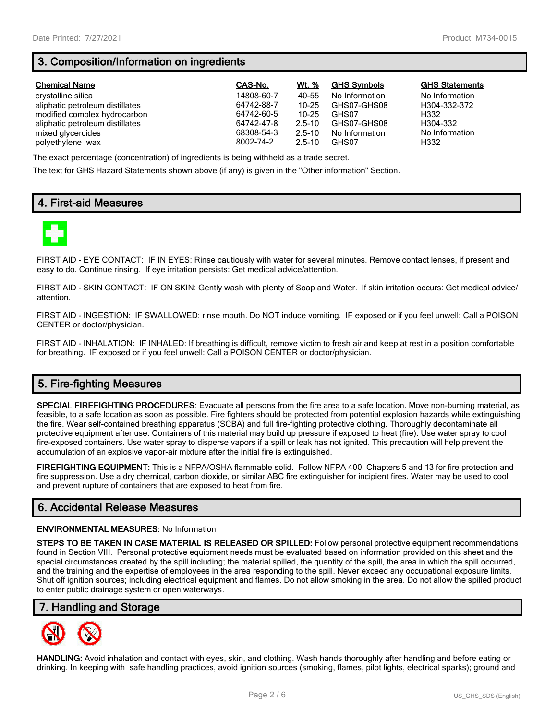# **3. Composition/Information on ingredients**

| <b>Chemical Name</b>            | CAS-No.    | Wt. %      | <b>GHS Symbols</b> | <b>GHS Statements</b> |
|---------------------------------|------------|------------|--------------------|-----------------------|
| crystalline silica              | 14808-60-7 | 40-55      | No Information     | No Information        |
| aliphatic petroleum distillates | 64742-88-7 | $10 - 25$  | GHS07-GHS08        | H304-332-372          |
| modified complex hydrocarbon    | 64742-60-5 | 10-25      | GHS07              | H332                  |
| aliphatic petroleum distillates | 64742-47-8 | $2.5 - 10$ | GHS07-GHS08        | H304-332              |
| mixed glycercides               | 68308-54-3 | $2.5 - 10$ | No Information     | No Information        |
| polyethylene wax                | 8002-74-2  | $2.5 - 10$ | GHS07              | H332                  |

The exact percentage (concentration) of ingredients is being withheld as a trade secret.

The text for GHS Hazard Statements shown above (if any) is given in the "Other information" Section.

# **4. First-aid Measures**



FIRST AID - EYE CONTACT: IF IN EYES: Rinse cautiously with water for several minutes. Remove contact lenses, if present and easy to do. Continue rinsing. If eye irritation persists: Get medical advice/attention.

FIRST AID - SKIN CONTACT: IF ON SKIN: Gently wash with plenty of Soap and Water. If skin irritation occurs: Get medical advice/ attention.

FIRST AID - INGESTION: IF SWALLOWED: rinse mouth. Do NOT induce vomiting. IF exposed or if you feel unwell: Call a POISON CENTER or doctor/physician.

FIRST AID - INHALATION: IF INHALED: If breathing is difficult, remove victim to fresh air and keep at rest in a position comfortable for breathing. IF exposed or if you feel unwell: Call a POISON CENTER or doctor/physician.

# **5. Fire-fighting Measures**

**SPECIAL FIREFIGHTING PROCEDURES:** Evacuate all persons from the fire area to a safe location. Move non-burning material, as feasible, to a safe location as soon as possible. Fire fighters should be protected from potential explosion hazards while extinguishing the fire. Wear self-contained breathing apparatus (SCBA) and full fire-fighting protective clothing. Thoroughly decontaminate all protective equipment after use. Containers of this material may build up pressure if exposed to heat (fire). Use water spray to cool fire-exposed containers. Use water spray to disperse vapors if a spill or leak has not ignited. This precaution will help prevent the accumulation of an explosive vapor-air mixture after the initial fire is extinguished.

**FIREFIGHTING EQUIPMENT:** This is a NFPA/OSHA flammable solid. Follow NFPA 400, Chapters 5 and 13 for fire protection and fire suppression. Use a dry chemical, carbon dioxide, or similar ABC fire extinguisher for incipient fires. Water may be used to cool and prevent rupture of containers that are exposed to heat from fire.

## **6. Accidental Release Measures**

#### **ENVIRONMENTAL MEASURES:** No Information

**STEPS TO BE TAKEN IN CASE MATERIAL IS RELEASED OR SPILLED:** Follow personal protective equipment recommendations found in Section VIII. Personal protective equipment needs must be evaluated based on information provided on this sheet and the special circumstances created by the spill including; the material spilled, the quantity of the spill, the area in which the spill occurred, and the training and the expertise of employees in the area responding to the spill. Never exceed any occupational exposure limits. Shut off ignition sources; including electrical equipment and flames. Do not allow smoking in the area. Do not allow the spilled product to enter public drainage system or open waterways.

## **7. Handling and Storage**



**HANDLING:** Avoid inhalation and contact with eyes, skin, and clothing. Wash hands thoroughly after handling and before eating or drinking. In keeping with safe handling practices, avoid ignition sources (smoking, flames, pilot lights, electrical sparks); ground and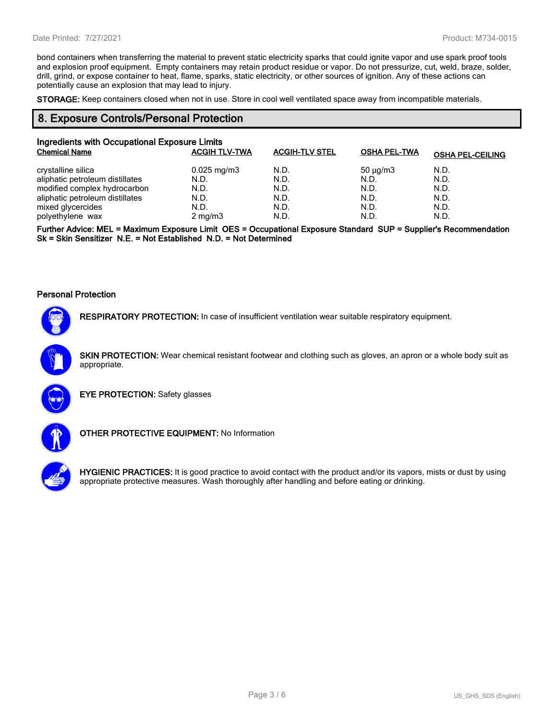bond containers when transferring the material to prevent static electricity sparks that could ignite vapor and use spark proof tools and explosion proof equipment. Empty containers may retain product residue or vapor. Do not pressurize, cut, weld, braze, solder, drill, grind, or expose container to heat, flame, sparks, static electricity, or other sources of ignition. Any of these actions can potentially cause an explosion that may lead to injury.

**STORAGE:** Keep containers closed when not in use. Store in cool well ventilated space away from incompatible materials.

## **8. Exposure Controls/Personal Protection**

| Ingredients with Occupational Exposure Limits<br><b>Chemical Name</b> | <b>ACGIH TLV-TWA</b>    | <b>ACGIH-TLV STEL</b> | <b>OSHA PEL-TWA</b> | <b>OSHA PEL-CEILING</b> |
|-----------------------------------------------------------------------|-------------------------|-----------------------|---------------------|-------------------------|
| crystalline silica                                                    | $0.025 \,\mathrm{mg/m}$ | N.D.                  | $50 \mu g/m3$       | N.D.                    |
| aliphatic petroleum distillates                                       | N.D.                    | N.D.                  | N.D.                | N.D.                    |
| modified complex hydrocarbon                                          | N.D.                    | N.D.                  | N.D.                | N.D.                    |
| aliphatic petroleum distillates                                       | N.D.                    | N.D.                  | N.D.                | N.D.                    |
| mixed glycercides                                                     | N.D.                    | N.D.                  | N.D.                | N.D.                    |
| polyethylene wax                                                      | $2 \text{ mg/m}$        | N.D.                  | N.D.                | N.D.                    |

**Further Advice: MEL = Maximum Exposure Limit OES = Occupational Exposure Standard SUP = Supplier's Recommendation Sk = Skin Sensitizer N.E. = Not Established N.D. = Not Determined**

#### **Personal Protection**



**RESPIRATORY PROTECTION:** In case of insufficient ventilation wear suitable respiratory equipment.

**SKIN PROTECTION:** Wear chemical resistant footwear and clothing such as gloves, an apron or a whole body suit as appropriate.



**EYE PROTECTION:** Safety glasses



**OTHER PROTECTIVE EQUIPMENT:** No Information



**HYGIENIC PRACTICES:** It is good practice to avoid contact with the product and/or its vapors, mists or dust by using appropriate protective measures. Wash thoroughly after handling and before eating or drinking.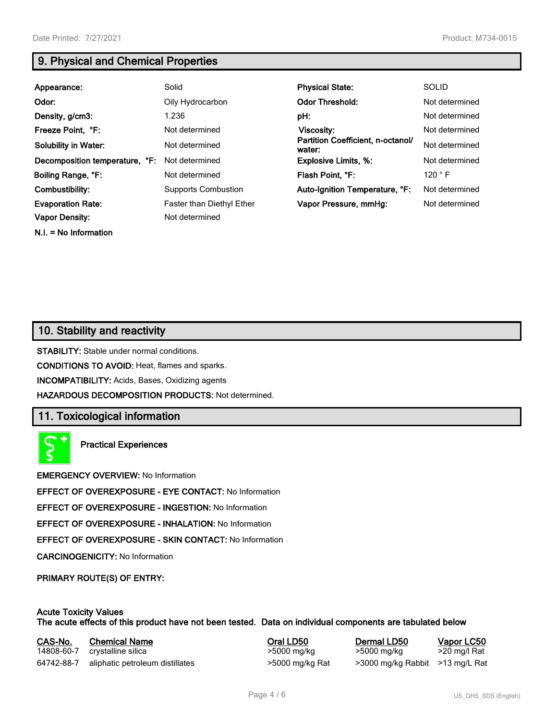**N.I. = No Information**

# **9. Physical and Chemical Properties**

| Appearance:                                       | Solid                                              | <b>Physical State:</b>                      | <b>SOLID</b>    |
|---------------------------------------------------|----------------------------------------------------|---------------------------------------------|-----------------|
| Odor:                                             | Oily Hydrocarbon                                   | <b>Odor Threshold:</b>                      | Not determined  |
| Density, g/cm3:                                   | 1.236                                              | pH:                                         | Not determined  |
| Freeze Point, °F:                                 | Not determined                                     | Viscosity:                                  | Not determined  |
| <b>Solubility in Water:</b>                       | Not determined                                     | Partition Coefficient, n-octanol/<br>water: | Not determined  |
| Decomposition temperature, °F:                    | Not determined                                     | <b>Explosive Limits, %:</b>                 | Not determined  |
| Boiling Range, °F:                                | Not determined                                     | Flash Point, °F:                            | 120 $\degree$ F |
| Combustibility:                                   | <b>Supports Combustion</b>                         | Auto-Ignition Temperature, °F:              | Not determined  |
| <b>Evaporation Rate:</b><br><b>Vapor Density:</b> | <b>Faster than Diethyl Ether</b><br>Not determined | Vapor Pressure, mmHg:                       | Not determined  |

# **10. Stability and reactivity**

**STABILITY:** Stable under normal conditions.

**CONDITIONS TO AVOID:** Heat, flames and sparks.

**INCOMPATIBILITY:** Acids, Bases, Oxidizing agents

**HAZARDOUS DECOMPOSITION PRODUCTS:** Not determined.

## **11. Toxicological information**

**Practical Experiences**

**EMERGENCY OVERVIEW:** No Information

**EFFECT OF OVEREXPOSURE - EYE CONTACT:** No Information

**EFFECT OF OVEREXPOSURE - INGESTION:** No Information

**EFFECT OF OVEREXPOSURE - INHALATION:** No Information

**EFFECT OF OVEREXPOSURE - SKIN CONTACT:** No Information

**CARCINOGENICITY:** No Information

**PRIMARY ROUTE(S) OF ENTRY:**

### **Acute Toxicity Values The acute effects of this product have not been tested. Data on individual components are tabulated below**

| CAS-No.    | <b>Chemical Name</b>            | Oral LD50       | Dermal LD50                     | Vapor LC50   |
|------------|---------------------------------|-----------------|---------------------------------|--------------|
| 14808-60-7 | crystalline silica              | >5000 mg/kg     | >5000 mg/kg                     | >20 mg/l Rat |
| 64742-88-7 | aliphatic petroleum distillates | >5000 mg/kg Rat | >3000 mg/kg Rabbit >13 mg/L Rat |              |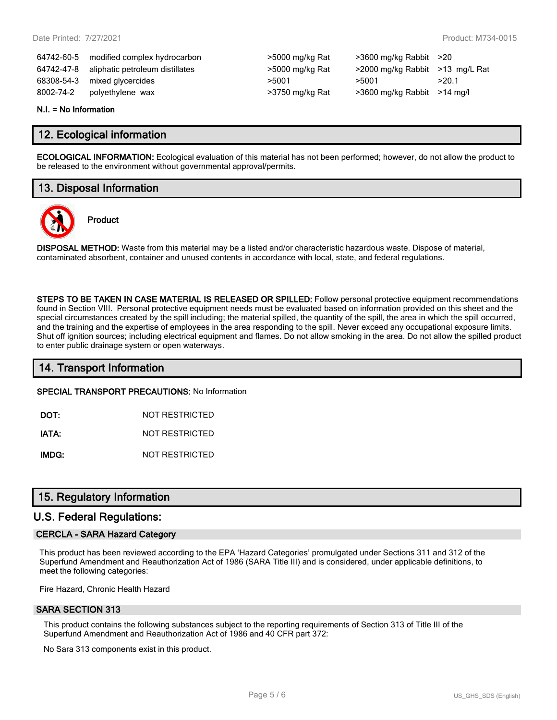64742-60-5 modified complex hydrocarbon >5000 mg/kg Rat >3600 mg/kg Rabbit >20 64742-47-8 aliphatic petroleum distillates >5000 mg/kg Rat >2000 mg/kg Rabbit >13 mg/L Rat 68308-54-3 mixed glycercides  $>5001$   $>5001$   $>5001$   $>20.1$ 8002-74-2 polyethylene wax >3750 mg/kg Rat >3600 mg/kg Rabbit >14 mg/l

| >5000 mg/kg Rat |
|-----------------|
| >5000 mg/kg Rat |
| >5001           |
| >3750 mg/kg Rat |

#### **N.I. = No Information**

## **12. Ecological information**

**ECOLOGICAL INFORMATION:** Ecological evaluation of this material has not been performed; however, do not allow the product to be released to the environment without governmental approval/permits.

# **13. Disposal Information**

**Product**



**DISPOSAL METHOD:** Waste from this material may be a listed and/or characteristic hazardous waste. Dispose of material, contaminated absorbent, container and unused contents in accordance with local, state, and federal regulations.

**STEPS TO BE TAKEN IN CASE MATERIAL IS RELEASED OR SPILLED:** Follow personal protective equipment recommendations found in Section VIII. Personal protective equipment needs must be evaluated based on information provided on this sheet and the special circumstances created by the spill including; the material spilled, the quantity of the spill, the area in which the spill occurred, and the training and the expertise of employees in the area responding to the spill. Never exceed any occupational exposure limits. Shut off ignition sources; including electrical equipment and flames. Do not allow smoking in the area. Do not allow the spilled product to enter public drainage system or open waterways.

## **14. Transport Information**

**SPECIAL TRANSPORT PRECAUTIONS:** No Information

**DOT:** NOT RESTRICTED

**IATA:** NOT RESTRICTED

**IMDG:** NOT RESTRICTED

## **15. Regulatory Information**

## **U.S. Federal Regulations:**

### **CERCLA - SARA Hazard Category**

This product has been reviewed according to the EPA 'Hazard Categories' promulgated under Sections 311 and 312 of the Superfund Amendment and Reauthorization Act of 1986 (SARA Title III) and is considered, under applicable definitions, to meet the following categories:

Fire Hazard, Chronic Health Hazard

### **SARA SECTION 313**

This product contains the following substances subject to the reporting requirements of Section 313 of Title III of the Superfund Amendment and Reauthorization Act of 1986 and 40 CFR part 372:

No Sara 313 components exist in this product.